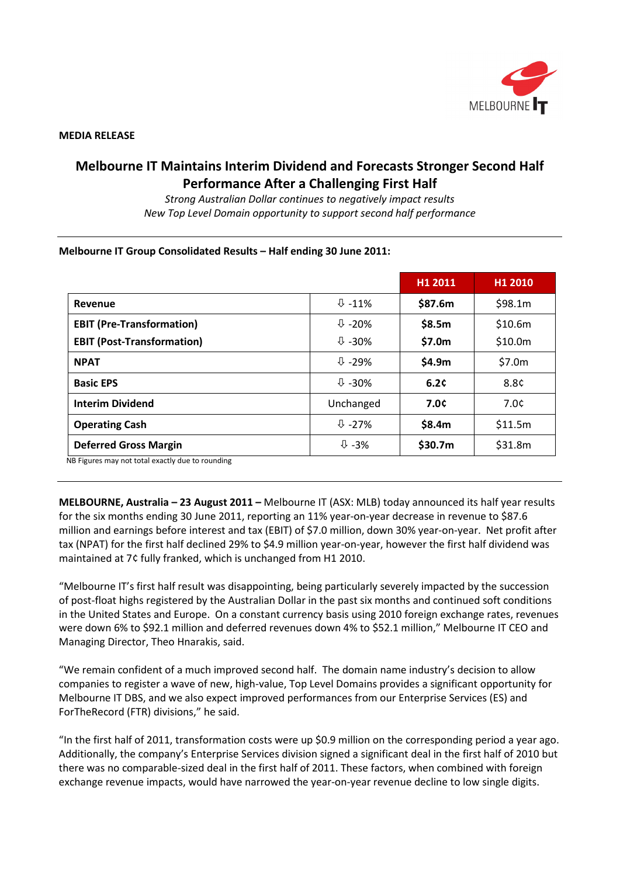

#### **MEDIA RELEASE**

# **Melbourne IT Maintains Interim Dividend and Forecasts Stronger Second Half Performance After a Challenging First Half**

*Strong Australian Dollar continues to negatively impact results New Top Level Domain opportunity to support second half performance*

#### **Melbourne IT Group Consolidated Results – Half ending 30 June 2011:**

|                                   |                              | H1 2011 | H1 2010 |
|-----------------------------------|------------------------------|---------|---------|
| Revenue                           | $\overline{\Downarrow}$ -11% | \$87.6m | \$98.1m |
| <b>EBIT (Pre-Transformation)</b>  | $\overline{v}$ -20%          | \$8.5m  | \$10.6m |
| <b>EBIT (Post-Transformation)</b> | $\overline{0}$ -30%          | \$7.0m  | \$10.0m |
| <b>NPAT</b>                       | $U - 29%$                    | \$4.9m  | \$7.0m  |
| <b>Basic EPS</b>                  | $\frac{1}{2}$ -30%           | 6.2c    | 8.8¢    |
| <b>Interim Dividend</b>           | Unchanged                    | 7.0¢    | 7.0c    |
| <b>Operating Cash</b>             | $U - 27%$                    | \$8.4m  | \$11.5m |
| <b>Deferred Gross Margin</b>      | $\overline{\psi}$ -3%        | \$30.7m | \$31.8m |

NB Figures may not total exactly due to rounding

**MELBOURNE, Australia – 23 August 2011 –** Melbourne IT (ASX: MLB) today announced its half year results for the six months ending 30 June 2011, reporting an 11% year-on-year decrease in revenue to \$87.6 million and earnings before interest and tax (EBIT) of \$7.0 million, down 30% year-on-year. Net profit after tax (NPAT) for the first half declined 29% to \$4.9 million year-on-year, however the first half dividend was maintained at 7¢ fully franked, which is unchanged from H1 2010.

"Melbourne IT's first half result was disappointing, being particularly severely impacted by the succession of post-float highs registered by the Australian Dollar in the past six months and continued soft conditions in the United States and Europe. On a constant currency basis using 2010 foreign exchange rates, revenues were down 6% to \$92.1 million and deferred revenues down 4% to \$52.1 million," Melbourne IT CEO and Managing Director, Theo Hnarakis, said.

"We remain confident of a much improved second half. The domain name industry's decision to allow companies to register a wave of new, high-value, Top Level Domains provides a significant opportunity for Melbourne IT DBS, and we also expect improved performances from our Enterprise Services (ES) and ForTheRecord (FTR) divisions," he said.

"In the first half of 2011, transformation costs were up \$0.9 million on the corresponding period a year ago. Additionally, the company's Enterprise Services division signed a significant deal in the first half of 2010 but there was no comparable-sized deal in the first half of 2011. These factors, when combined with foreign exchange revenue impacts, would have narrowed the year-on-year revenue decline to low single digits.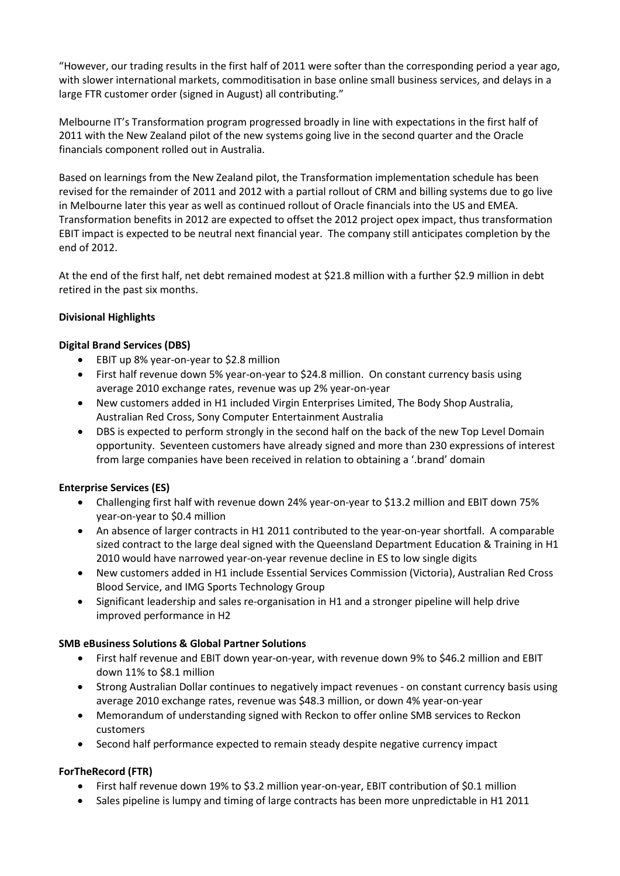"However, our trading results in the first half of 2011 were softer than the corresponding period a year ago, with slower international markets, commoditisation in base online small business services, and delays in a large FTR customer order (signed in August) all contributing."

Melbourne IT's Transformation program progressed broadly in line with expectations in the first half of 2011 with the New Zealand pilot of the new systems going live in the second quarter and the Oracle financials component rolled out in Australia.

Based on learnings from the New Zealand pilot, the Transformation implementation schedule has been revised for the remainder of 2011 and 2012 with a partial rollout of CRM and billing systems due to go live in Melbourne later this year as well as continued rollout of Oracle financials into the US and EMEA. Transformation benefits in 2012 are expected to offset the 2012 project opex impact, thus transformation EBIT impact is expected to be neutral next financial year. The company still anticipates completion by the end of 2012.

At the end of the first half, net debt remained modest at \$21.8 million with a further \$2.9 million in debt retired in the past six months.

# **Divisional Highlights**

# **Digital Brand Services (DBS)**

- EBIT up 8% year-on-year to \$2.8 million
- First half revenue down 5% year-on-year to \$24.8 million. On constant currency basis using average 2010 exchange rates, revenue was up 2% year-on-year
- New customers added in H1 included Virgin Enterprises Limited, The Body Shop Australia, Australian Red Cross, Sony Computer Entertainment Australia
- DBS is expected to perform strongly in the second half on the back of the new Top Level Domain opportunity. Seventeen customers have already signed and more than 230 expressions of interest from large companies have been received in relation to obtaining a '.brand' domain

# **Enterprise Services (ES)**

- Challenging first half with revenue down 24% year-on-year to \$13.2 million and EBIT down 75% year-on-year to \$0.4 million
- An absence of larger contracts in H1 2011 contributed to the year-on-year shortfall. A comparable sized contract to the large deal signed with the Queensland Department Education & Training in H1 2010 would have narrowed year-on-year revenue decline in ES to low single digits
- New customers added in H1 include Essential Services Commission (Victoria), Australian Red Cross Blood Service, and IMG Sports Technology Group
- Significant leadership and sales re-organisation in H1 and a stronger pipeline will help drive improved performance in H2

# **SMB eBusiness Solutions & Global Partner Solutions**

- First half revenue and EBIT down year-on-year, with revenue down 9% to \$46.2 million and EBIT down 11% to \$8.1 million
- Strong Australian Dollar continues to negatively impact revenues on constant currency basis using average 2010 exchange rates, revenue was \$48.3 million, or down 4% year-on-year
- Memorandum of understanding signed with Reckon to offer online SMB services to Reckon customers
- Second half performance expected to remain steady despite negative currency impact

# **ForTheRecord (FTR)**

- First half revenue down 19% to \$3.2 million year-on-year, EBIT contribution of \$0.1 million
- Sales pipeline is lumpy and timing of large contracts has been more unpredictable in H1 2011